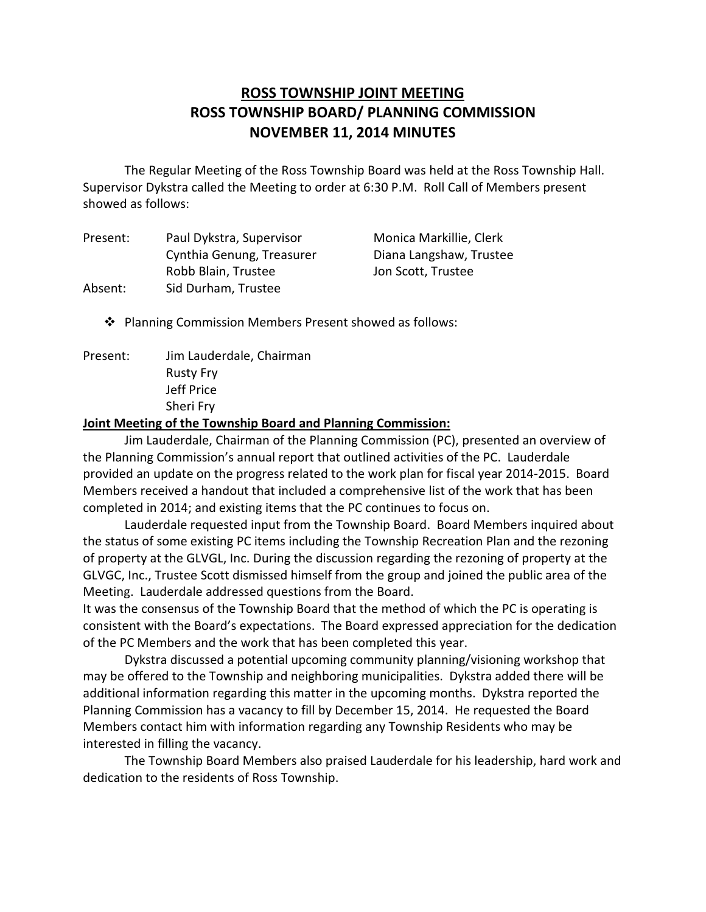# **ROSS TOWNSHIP JOINT MEETING ROSS TOWNSHIP BOARD/ PLANNING COMMISSION NOVEMBER 11, 2014 MINUTES**

 Supervisor Dykstra called the Meeting to order at 6:30 P.M. Roll Call of Members present showed as follows: The Regular Meeting of the Ross Township Board was held at the Ross Township Hall.

| Present: | Paul Dykstra, Supervisor  | Monica Markillie, Clerk |
|----------|---------------------------|-------------------------|
|          | Cynthia Genung, Treasurer | Diana Langshaw, Trustee |
|          | Robb Blain, Trustee       | Jon Scott, Trustee      |
| Absent:  | Sid Durham, Trustee       |                         |

� Planning Commission Members Present showed as follows:

Present: Jim Lauderdale, Chairman Rusty Fry Jeff Price Sheri Fry

#### **Joint Meeting of the Township Board and Planning Commission:**

 the Planning Commission's annual report that outlined activities of the PC. Lauderdale provided an update on the progress related to the work plan for fiscal year 2014-2015. Board Members received a handout that included a comprehensive list of the work that has been completed in 2014; and existing items that the PC continues to focus on. Jim Lauderdale, Chairman of the Planning Commission (PC), presented an overview of

 Lauderdale requested input from the Township Board. Board Members inquired about the status of some existing PC items including the Township Recreation Plan and the rezoning of property at the GLVGL, Inc. During the discussion regarding the rezoning of property at the GLVGC, Inc., Trustee Scott dismissed himself from the group and joined the public area of the Meeting. Lauderdale addressed questions from the Board.

 It was the consensus of the Township Board that the method of which the PC is operating is consistent with the Board's expectations. The Board expressed appreciation for the dedication of the PC Members and the work that has been completed this year.

 Dykstra discussed a potential upcoming community planning/visioning workshop that may be offered to the Township and neighboring municipalities. Dykstra added there will be additional information regarding this matter in the upcoming months. Dykstra reported the Planning Commission has a vacancy to fill by December 15, 2014. He requested the Board Members contact him with information regarding any Township Residents who may be interested in filling the vacancy.

 dedication to the residents of Ross Township. The Township Board Members also praised Lauderdale for his leadership, hard work and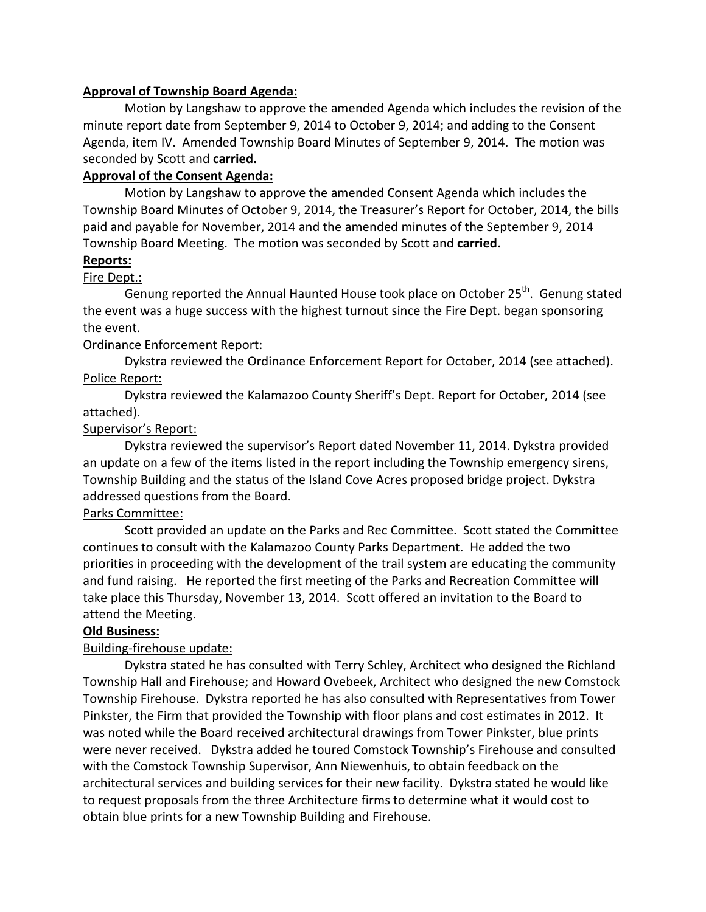#### **Approval of Township Board Agenda:**

 Motion by Langshaw to approve the amended Agenda which includes the revision of the minute report date from September 9, 2014 to October 9, 2014; and adding to the Consent Agenda, item IV. Amended Township Board Minutes of September 9, 2014. The motion was seconded by Scott and **carried.** 

## **Approval of the Consent Agenda:**

 Motion by Langshaw to approve the amended Consent Agenda which includes the Township Board Minutes of October 9, 2014, the Treasurer's Report for October, 2014, the bills paid and payable for November, 2014 and the amended minutes of the September 9, 2014 Township Board Meeting. The motion was seconded by Scott and **carried.** 

#### **Reports:**

#### Fire Dept.:

Genung reported the Annual Haunted House took place on October 25<sup>th</sup>. Genung stated the event was a huge success with the highest turnout since the Fire Dept. began sponsoring the event.

#### Ordinance Enforcement Report:

 Dykstra reviewed the Ordinance Enforcement Report for October, 2014 (see attached). Police Report:

 Dykstra reviewed the Kalamazoo County Sheriff's Dept. Report for October, 2014 (see attached).

#### Supervisor's Report:

 Dykstra reviewed the supervisor's Report dated November 11, 2014. Dykstra provided an update on a few of the items listed in the report including the Township emergency sirens, Township Building and the status of the Island Cove Acres proposed bridge project. Dykstra addressed questions from the Board.

#### Parks Committee:

 continues to consult with the Kalamazoo County Parks Department. He added the two priorities in proceeding with the development of the trail system are educating the community and fund raising. He reported the first meeting of the Parks and Recreation Committee will take place this Thursday, November 13, 2014. Scott offered an invitation to the Board to attend the Meeting. Scott provided an update on the Parks and Rec Committee. Scott stated the Committee

#### **Old Business:**

#### Building-firehouse update:

 Dykstra stated he has consulted with Terry Schley, Architect who designed the Richland Township Hall and Firehouse; and Howard Ovebeek, Architect who designed the new Comstock Township Firehouse. Dykstra reported he has also consulted with Representatives from Tower Pinkster, the Firm that provided the Township with floor plans and cost estimates in 2012. It was noted while the Board received architectural drawings from Tower Pinkster, blue prints were never received. Dykstra added he toured Comstock Township's Firehouse and consulted with the Comstock Township Supervisor, Ann Niewenhuis, to obtain feedback on the architectural services and building services for their new facility. Dykstra stated he would like to request proposals from the three Architecture firms to determine what it would cost to obtain blue prints for a new Township Building and Firehouse.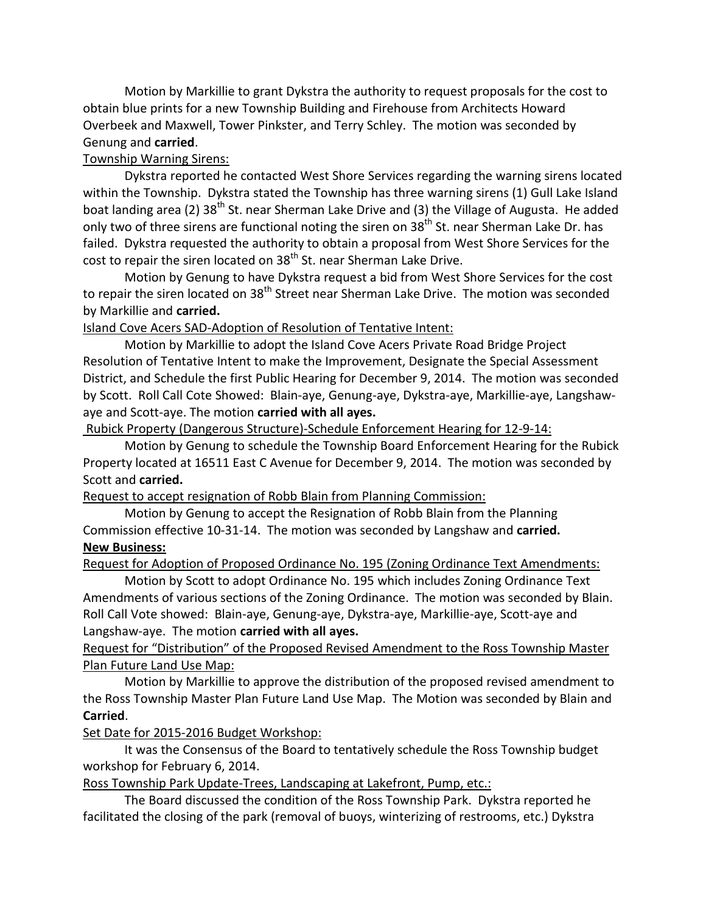Motion by Markillie to grant Dykstra the authority to request proposals for the cost to obtain blue prints for a new Township Building and Firehouse from Architects Howard Overbeek and Maxwell, Tower Pinkster, and Terry Schley. The motion was seconded by Genung and **carried**.

## Township Warning Sirens:

 Dykstra reported he contacted West Shore Services regarding the warning sirens located within the Township. Dykstra stated the Township has three warning sirens (1) Gull Lake Island boat landing area (2) 38<sup>th</sup> St. near Sherman Lake Drive and (3) the Village of Augusta. He added only two of three sirens are functional noting the siren on 38<sup>th</sup> St. near Sherman Lake Dr. has failed. Dykstra requested the authority to obtain a proposal from West Shore Services for the cost to repair the siren located on 38<sup>th</sup> St. near Sherman Lake Drive.

 Motion by Genung to have Dykstra request a bid from West Shore Services for the cost to repair the siren located on 38<sup>th</sup> Street near Sherman Lake Drive. The motion was seconded by Markillie and **carried.** 

## Island Cove Acers SAD-Adoption of Resolution of Tentative Intent:

 Motion by Markillie to adopt the Island Cove Acers Private Road Bridge Project Resolution of Tentative Intent to make the Improvement, Designate the Special Assessment District, and Schedule the first Public Hearing for December 9, 2014. The motion was seconded by Scott. Roll Call Cote Showed: Blain-aye, Genung-aye, Dykstra-aye, Markillie-aye, Langshaw-aye and Scott-aye. The motion **carried with all ayes.** 

Rubick Property (Dangerous Structure)-Schedule Enforcement Hearing for 12-9-14:

 Motion by Genung to schedule the Township Board Enforcement Hearing for the Rubick Property located at 16511 East C Avenue for December 9, 2014. The motion was seconded by Scott and **carried.** 

#### Request to accept resignation of Robb Blain from Planning Commission:

 Motion by Genung to accept the Resignation of Robb Blain from the Planning Commission effective 10-31-14. The motion was seconded by Langshaw and **carried. New Business:** 

Request for Adoption of Proposed Ordinance No. 195 (Zoning Ordinance Text Amendments:

 Motion by Scott to adopt Ordinance No. 195 which includes Zoning Ordinance Text Amendments of various sections of the Zoning Ordinance. The motion was seconded by Blain. Roll Call Vote showed: Blain-aye, Genung-aye, Dykstra-aye, Markillie-aye, Scott-aye and Langshaw-aye. The motion **carried with all ayes.** 

# Request for "Distribution" of the Proposed Revised Amendment to the Ross Township Master Plan Future Land Use Map:

 Motion by Markillie to approve the distribution of the proposed revised amendment to the Ross Township Master Plan Future Land Use Map. The Motion was seconded by Blain and **Carried**.

# Set Date for 2015-2016 Budget Workshop:

 workshop for February 6, 2014. It was the Consensus of the Board to tentatively schedule the Ross Township budget

Ross Township Park Update-Trees, Landscaping at Lakefront, Pump, etc.:

 facilitated the closing of the park (removal of buoys, winterizing of restrooms, etc.) Dykstra The Board discussed the condition of the Ross Township Park. Dykstra reported he